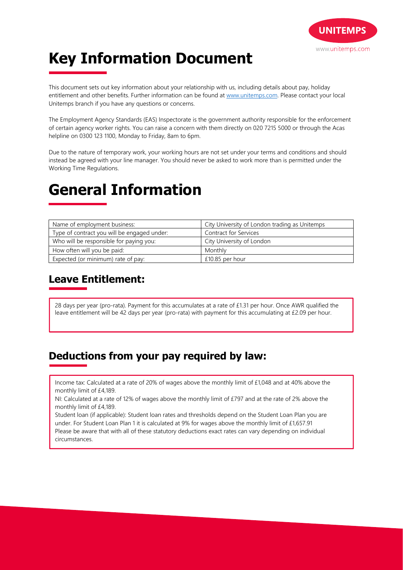

# **Key Information Document**

This document sets out key information about your relationship with us, including details about pay, holiday entitlement and other benefits. Further information can be found at www.unitemps.com. Please contact your local Unitemps branch if you have any questions or concerns.

The Employment Agency Standards (EAS) Inspectorate is the government authority responsible for the enforcement of certain agency worker rights. You can raise a concern with them directly on 020 7215 5000 or through the Acas helpline on 0300 123 1100, Monday to Friday, 8am to 6pm.

Due to the nature of temporary work, your working hours are not set under your terms and conditions and should instead be agreed with your line manager. You should never be asked to work more than is permitted under the Working Time Regulations.

## **General Information**

| Name of employment business:                | City University of London trading as Unitemps |
|---------------------------------------------|-----------------------------------------------|
| Type of contract you will be engaged under: | Contract for Services                         |
| Who will be responsible for paying you:     | City University of London                     |
| How often will you be paid:                 | Monthly                                       |
| Expected (or minimum) rate of pay:          | £10.85 per hour                               |

### **Leave Entitlement:**

28 days per year (pro-rata). Payment for this accumulates at a rate of £1.31 per hour. Once AWR qualified the leave entitlement will be 42 days per year (pro-rata) with payment for this accumulating at £2.09 per hour.

#### **Deductions from your pay required by law:**

Income tax: Calculated at a rate of 20% of wages above the monthly limit of £1,048 and at 40% above the monthly limit of £4,189.

NI: Calculated at a rate of 12% of wages above the monthly limit of £797 and at the rate of 2% above the monthly limit of £4,189.

Student loan (if applicable): Student loan rates and thresholds depend on the Student Loan Plan you are under. For Student Loan Plan 1 it is calculated at 9% for wages above the monthly limit of £1,657.91

Please be aware that with all of these statutory deductions exact rates can vary depending on individual circumstances.